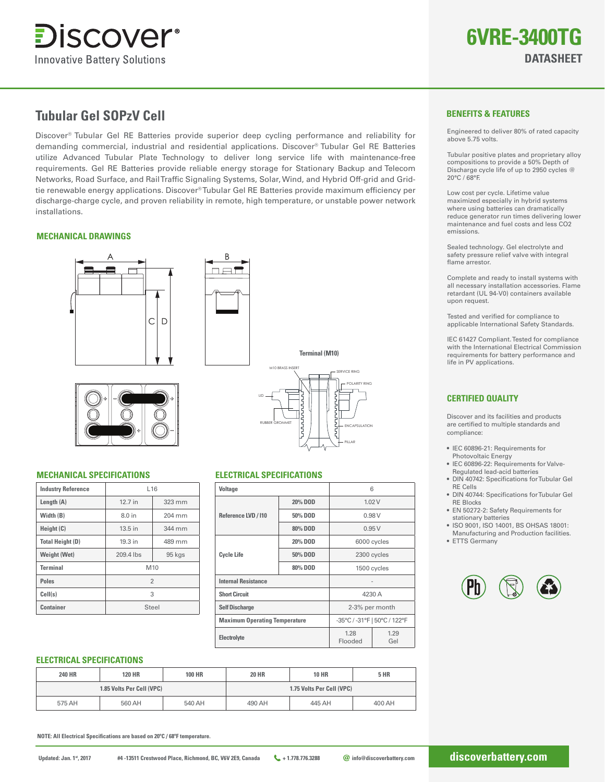

# **Tubular Gel SOPzV Cell**

Discover® Tubular Gel RE Batteries provide superior deep cycling performance and reliability for demanding commercial, industrial and residential applications. Discover® Tubular Gel RE Batteries utilize Advanced Tubular Plate Technology to deliver long service life with maintenance-free requirements. Gel RE Batteries provide reliable energy storage for Stationary Backup and Telecom Networks, Road Surface, and Rail Traffic Signaling Systems, Solar, Wind, and Hybrid Off-grid and Gridtie renewable energy applications. Discover® Tubular Gel RE Batteries provide maximum efficiency per discharge-charge cycle, and proven reliability in remote, high temperature, or unstable power network installations.

# **MECHANICAL DRAWINGS**







# **MECHANICAL SPECIFICATIONS ELECTRICAL SPECIFICATIONS**

| <b>Industry Reference</b> | L16       |        |  |  |
|---------------------------|-----------|--------|--|--|
| Length $(A)$              | 12.7 in   | 323 mm |  |  |
| Width (B)                 | 8.0 in    | 204 mm |  |  |
| Height (C)                | 13.5 in   | 344 mm |  |  |
| <b>Total Height (D)</b>   | 19.3 in   | 489 mm |  |  |
| <b>Weight (Wet)</b>       | 209.4 lbs | 95 kgs |  |  |
| <b>Terminal</b>           | M10       |        |  |  |
| <b>Poles</b>              | 2         |        |  |  |
| Cell(s)                   | 3         |        |  |  |
| Container                 | Steel     |        |  |  |

# M10 BRASS INSERT SERVICE RING POLARITY RING RUBBER GROMMET  $\begin{bmatrix} 5 \\ 1 \end{bmatrix}$   $\begin{bmatrix} 2 \\ 1 \end{bmatrix}$  encapsulation PILLAR LID **Terminal (M10)**

| Voltage                              |         | 6               |                              |  |  |
|--------------------------------------|---------|-----------------|------------------------------|--|--|
| Reference LVD / 110                  | 20% DOD | 1.02V           |                              |  |  |
|                                      | 50% DOD | 0.98V           |                              |  |  |
|                                      | 80% DOD | 0.95V           |                              |  |  |
|                                      | 20% DOD | 6000 cycles     |                              |  |  |
| <b>Cycle Life</b>                    | 50% DOD | 2300 cycles     |                              |  |  |
|                                      | 80% DOD | 1500 cycles     |                              |  |  |
| <b>Internal Resistance</b>           |         |                 |                              |  |  |
| <b>Short Circuit</b>                 |         |                 | 4230 A                       |  |  |
| <b>Self Discharge</b>                |         | 2-3% per month  |                              |  |  |
| <b>Maximum Operating Temperature</b> |         |                 | -35°C / -31°F   50°C / 122°F |  |  |
| Electrolyte                          |         | 1.28<br>Flooded | 1.29<br>Gel                  |  |  |

# **BENEFITS & FEATURES**

Engineered to deliver 80% of rated capacity above 5.75 volts.

Tubular positive plates and proprietary alloy compositions to provide a 50% Depth of Discharge cycle life of up to 2950 cycles @ 20°C / 68°F.

Low cost per cycle. Lifetime value maximized especially in hybrid systems where using batteries can dramatically reduce generator run times delivering lower maintenance and fuel costs and less CO2 emissions.

Sealed technology. Gel electrolyte and safety pressure relief valve with integral flame arrestor.

Complete and ready to install systems with all necessary installation accessories. Flame retardant (UL 94-V0) containers available upon request.

Tested and verified for compliance to applicable International Safety Standards.

IEC 61427 Compliant. Tested for compliance with the International Electrical Commission requirements for battery performance and life in PV applications.

# **CERTIFIED QUALITY**

Discover and its facilities and products are certified to multiple standards and compliance:

- IEC 60896-21: Requirements for Photovoltaic Energy
- IEC 60896-22: Requirements for Valve-Regulated lead-acid batteries
- DIN 40742: Specifications for Tubular Gel RE Cells
- DIN 40744: Specifications for Tubular Gel RE Blocks
- EN 50272-2: Safety Requirements for stationary batteries
- ISO 9001, ISO 14001, BS OHSAS 18001: Manufacturing and Production facilities.
- ETTS Germany



### **ELECTRICAL SPECIFICATIONS**

| <b>240 HR</b>             | <b>120 HR</b> | <b>100 HR</b>             | <b>20 HR</b> | <b>10 HR</b> | <b>5 HR</b> |
|---------------------------|---------------|---------------------------|--------------|--------------|-------------|
| 1.85 Volts Per Cell (VPC) |               | 1.75 Volts Per Cell (VPC) |              |              |             |
| 575 AH                    | 560 AH        | 540 AH                    | 490 AH       | 445 AH       | 400 AH      |

**NOTE: All Electrical Specifications are based on 20°C / 68°F temperature.**